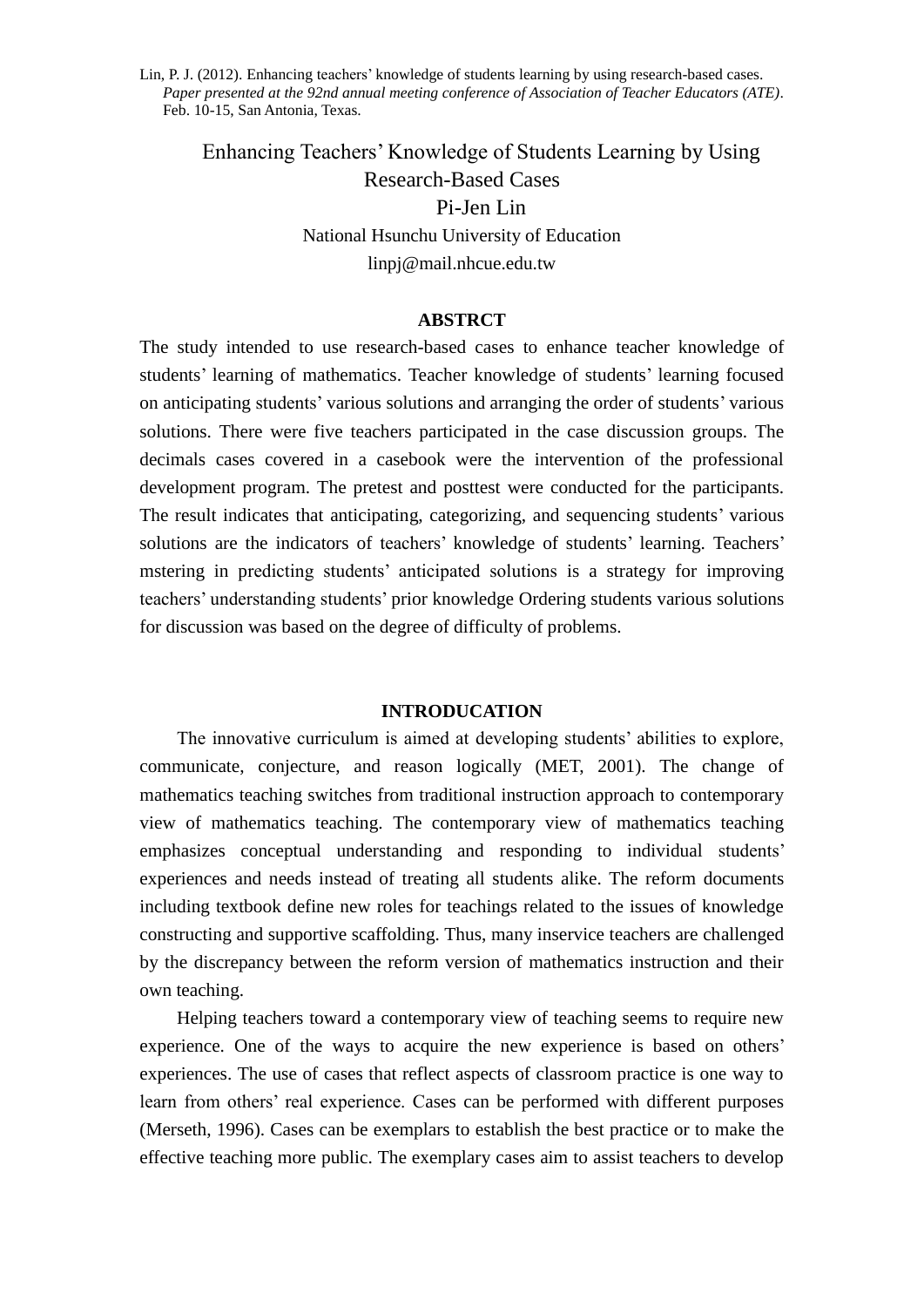Enhancing Teachers' Knowledge of Students Learning by Using Research-Based Cases Pi-Jen Lin National Hsunchu University of Education linpj@mail.nhcue.edu.tw

#### **ABSTRCT**

The study intended to use research-based cases to enhance teacher knowledge of students' learning of mathematics. Teacher knowledge of students' learning focused on anticipating students' various solutions and arranging the order of students' various solutions. There were five teachers participated in the case discussion groups. The decimals cases covered in a casebook were the intervention of the professional development program. The pretest and posttest were conducted for the participants. The result indicates that anticipating, categorizing, and sequencing students' various solutions are the indicators of teachers' knowledge of students' learning. Teachers' mstering in predicting students' anticipated solutions is a strategy for improving teachers' understanding students' prior knowledge Ordering students various solutions for discussion was based on the degree of difficulty of problems.

#### **INTRODUCATION**

The innovative curriculum is aimed at developing students' abilities to explore, communicate, conjecture, and reason logically (MET, 2001). The change of mathematics teaching switches from traditional instruction approach to contemporary view of mathematics teaching. The contemporary view of mathematics teaching emphasizes conceptual understanding and responding to individual students' experiences and needs instead of treating all students alike. The reform documents including textbook define new roles for teachings related to the issues of knowledge constructing and supportive scaffolding. Thus, many inservice teachers are challenged by the discrepancy between the reform version of mathematics instruction and their own teaching.

Helping teachers toward a contemporary view of teaching seems to require new experience. One of the ways to acquire the new experience is based on others' experiences. The use of cases that reflect aspects of classroom practice is one way to learn from others' real experience. Cases can be performed with different purposes (Merseth, 1996). Cases can be exemplars to establish the best practice or to make the effective teaching more public. The exemplary cases aim to assist teachers to develop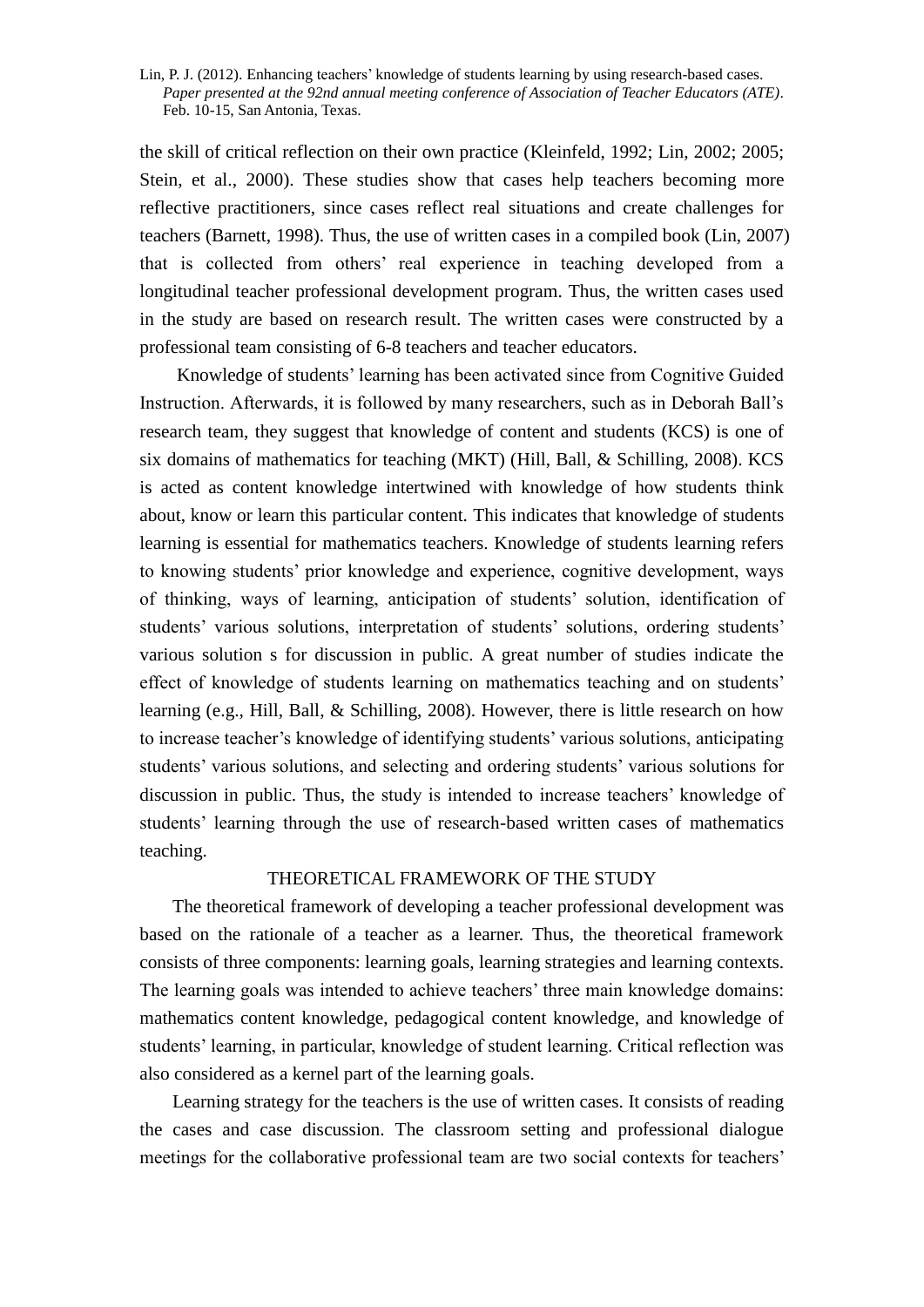the skill of critical reflection on their own practice (Kleinfeld, 1992; Lin, 2002; 2005; Stein, et al., 2000). These studies show that cases help teachers becoming more reflective practitioners, since cases reflect real situations and create challenges for teachers (Barnett, 1998). Thus, the use of written cases in a compiled book (Lin, 2007) that is collected from others' real experience in teaching developed from a longitudinal teacher professional development program. Thus, the written cases used in the study are based on research result. The written cases were constructed by a professional team consisting of 6-8 teachers and teacher educators.

Knowledge of students' learning has been activated since from Cognitive Guided Instruction. Afterwards, it is followed by many researchers, such as in Deborah Ball's research team, they suggest that knowledge of content and students (KCS) is one of six domains of mathematics for teaching (MKT) (Hill, Ball, & Schilling, 2008). KCS is acted as content knowledge intertwined with knowledge of how students think about, know or learn this particular content. This indicates that knowledge of students learning is essential for mathematics teachers. Knowledge of students learning refers to knowing students' prior knowledge and experience, cognitive development, ways of thinking, ways of learning, anticipation of students' solution, identification of students' various solutions, interpretation of students' solutions, ordering students' various solution s for discussion in public. A great number of studies indicate the effect of knowledge of students learning on mathematics teaching and on students' learning (e.g., Hill, Ball, & Schilling, 2008). However, there is little research on how to increase teacher's knowledge of identifying students' various solutions, anticipating students' various solutions, and selecting and ordering students' various solutions for discussion in public. Thus, the study is intended to increase teachers' knowledge of students' learning through the use of research-based written cases of mathematics teaching.

### THEORETICAL FRAMEWORK OF THE STUDY

The theoretical framework of developing a teacher professional development was based on the rationale of a teacher as a learner. Thus, the theoretical framework consists of three components: learning goals, learning strategies and learning contexts. The learning goals was intended to achieve teachers' three main knowledge domains: mathematics content knowledge, pedagogical content knowledge, and knowledge of students' learning, in particular, knowledge of student learning. Critical reflection was also considered as a kernel part of the learning goals.

Learning strategy for the teachers is the use of written cases. It consists of reading the cases and case discussion. The classroom setting and professional dialogue meetings for the collaborative professional team are two social contexts for teachers'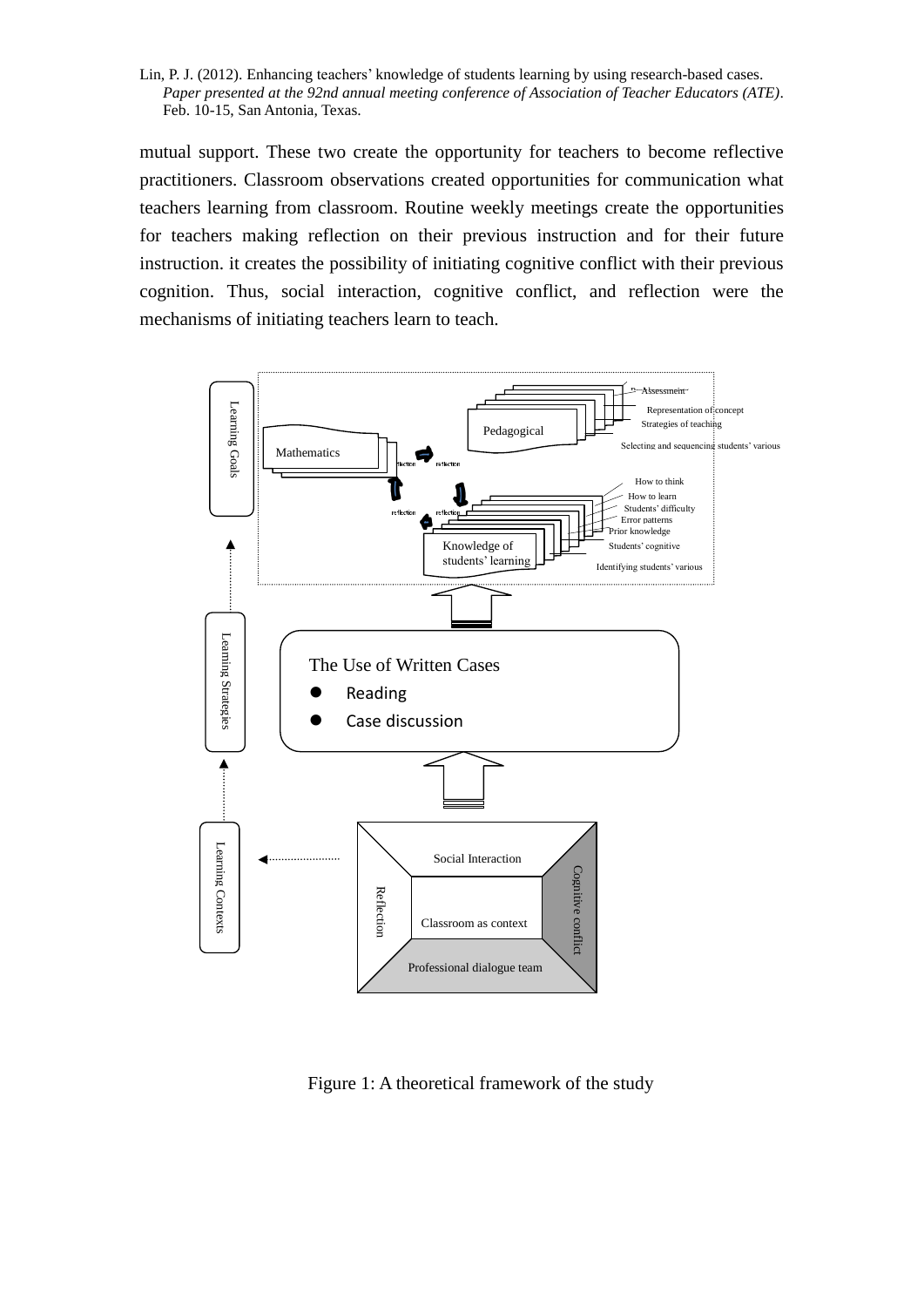Lin, P. J. (2012). Enhancing teachers' knowledge of students learning by using research-based cases. *Paper presented at the 92nd annual meeting conference of Association of Teacher Educators (ATE)*. Feb. 10-15, San Antonia, Texas.

mutual support. These two create the opportunity for teachers to become reflective practitioners. Classroom observations created opportunities for communication what teachers learning from classroom. Routine weekly meetings create the opportunities for teachers making reflection on their previous instruction and for their future instruction. it creates the possibility of initiating cognitive conflict with their previous cognition. Thus, social interaction, cognitive conflict, and reflection were the mechanisms of initiating teachers learn to teach.



Figure 1: A theoretical framework of the study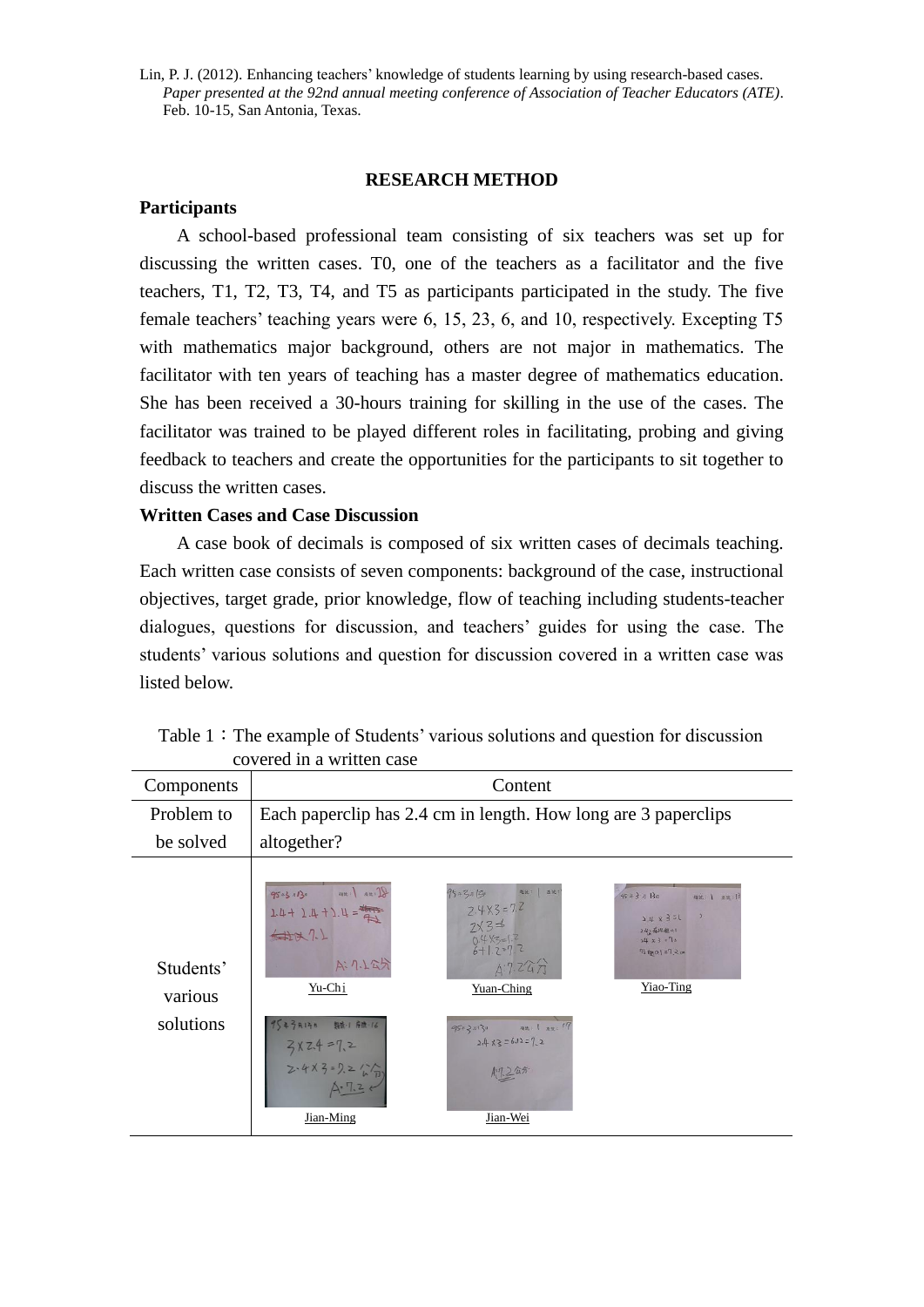### **RESEARCH METHOD**

### **Participants**

A school-based professional team consisting of six teachers was set up for discussing the written cases. T0, one of the teachers as a facilitator and the five teachers, T1, T2, T3, T4, and T5 as participants participated in the study. The five female teachers' teaching years were 6, 15, 23, 6, and 10, respectively. Excepting T5 with mathematics major background, others are not major in mathematics. The facilitator with ten years of teaching has a master degree of mathematics education. She has been received a 30-hours training for skilling in the use of the cases. The facilitator was trained to be played different roles in facilitating, probing and giving feedback to teachers and create the opportunities for the participants to sit together to discuss the written cases.

### **Written Cases and Case Discussion**

A case book of decimals is composed of six written cases of decimals teaching. Each written case consists of seven components: background of the case, instructional objectives, target grade, prior knowledge, flow of teaching including students-teacher dialogues, questions for discussion, and teachers' guides for using the case. The students' various solutions and question for discussion covered in a written case was listed below.

| COVULUI III A WIILUUI CASU                                                                             |                                                                                             |                                                                                                                                     |  |  |  |  |  |  |
|--------------------------------------------------------------------------------------------------------|---------------------------------------------------------------------------------------------|-------------------------------------------------------------------------------------------------------------------------------------|--|--|--|--|--|--|
| Content                                                                                                |                                                                                             |                                                                                                                                     |  |  |  |  |  |  |
|                                                                                                        |                                                                                             |                                                                                                                                     |  |  |  |  |  |  |
| altogether?                                                                                            |                                                                                             |                                                                                                                                     |  |  |  |  |  |  |
| $95*3*13*$ at: at:<br>$T\sqrt{7} + 7\sqrt{7} + 7\sqrt{7} = \frac{177}{4}$<br>471<br>A: 7.1公分<br>Yu-Chi | $2.4X3 = 7.7$<br>$7\sqrt{3}$ $\approx$<br>$0.4$ X3=1.2<br>6+1.2=7.2<br>47.247<br>Yuan-Ching | $45 + 3 + 130$<br>相处;   反比:  <br>$2.4 \times 3=6$<br>2.42544個 QT<br>$24x3 = 73$<br>$\eta$ fano   $z \overline{q}$ 2 cm<br>Yiao-Ting |  |  |  |  |  |  |
| $3x2.4 = 7,2$<br>2-4x3=9.2 ( $\sqrt{n}$ )<br>A: 7.2<br>Jian-Ming                                       | $2.4 x3 = 6.12 = 7.2$<br>川 2公分<br>Jian-Wei                                                  |                                                                                                                                     |  |  |  |  |  |  |
|                                                                                                        | 95年3月17日 朝途:1 府流:16                                                                         | Each paperclip has 2.4 cm in length. How long are 3 paperclips<br>95+ 2 Alzu un: 1 An. 17                                           |  |  |  |  |  |  |

Table  $1:$  The example of Students' various solutions and question for discussion covered in a written case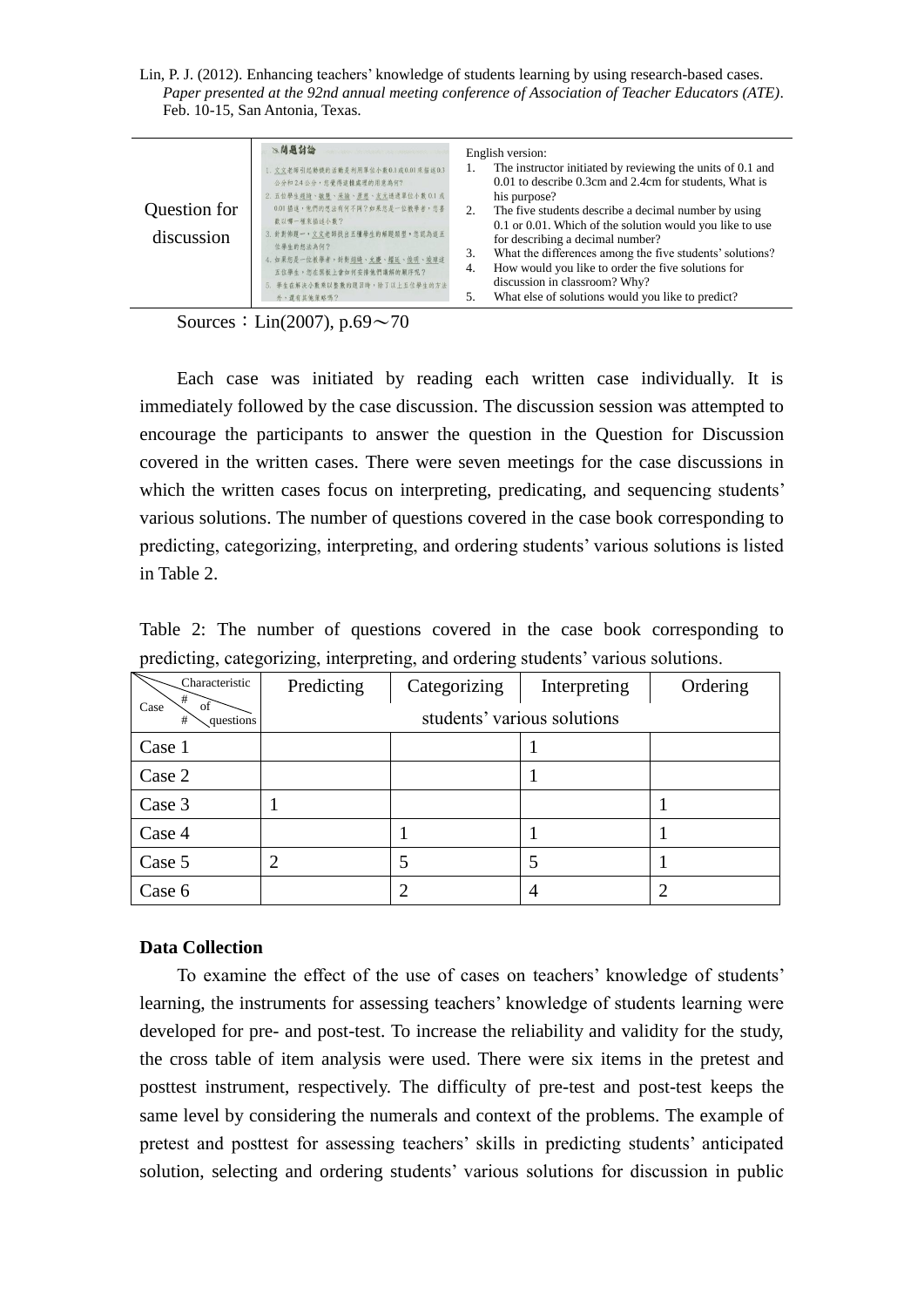Lin, P. J. (2012). Enhancing teachers' knowledge of students learning by using research-based cases. *Paper presented at the 92nd annual meeting conference of Association of Teacher Educators (ATE)*. Feb. 10-15, San Antonia, Texas.

| ≥、問題討論                                   | English version:                                           |
|------------------------------------------|------------------------------------------------------------|
| on any Syntaxin as essentials.           | The instructor initiated by reviewing the units of 0.1 and |
| 1. 文文老師引起動機的活動是利用單位小數0.1或0.01來描述0.3      | 0.01 to describe 0.3cm and 2.4cm for students, What is     |
| 公分和2.4公分,您覺得這樣處理的用意為何?                   | his purpose?                                               |
| 2. 五位學生翅綺、敏慧、采諭、彥慈、友元透過單位小數 0.1 或        | The five students describe a decimal number by using       |
| Question for                             | 2.                                                         |
| 0.01 描述,他們的想法有何不同?如果您是一位教學者,您喜           | 0.1 or 0.01. Which of the solution would you like to use   |
| 歌以哪一種來描述小數?                              | for describing a decimal number?                           |
| 3. 針對佈題一,文文老師找出五種學生的解題類型,您認為這五           | What the differences among the five students' solutions?   |
| discussion                               | 3.                                                         |
| 位畢生的想法為何?                                | How would you like to order the five solutions for         |
| 4. 如果您是一位教學者, 針對 <u>翊绮、允慶、耀廷、俊明、竣璋</u> 道 | 4.                                                         |
| 五位學生,您在黑板上會如何安排他們講解的順序呢?                 | discussion in classroom? Why?                              |
| 5. 學生在解決小數乘以整數的題目時,除了以上五位學生的方法           | What else of solutions would you like to predict?          |
| 外, 道有其他策略吗?                              | 5.                                                         |

Sources: Lin(2007), p.69 $\sim$ 70

Each case was initiated by reading each written case individually. It is immediately followed by the case discussion. The discussion session was attempted to encourage the participants to answer the question in the Question for Discussion covered in the written cases. There were seven meetings for the case discussions in which the written cases focus on interpreting, predicating, and sequencing students' various solutions. The number of questions covered in the case book corresponding to predicting, categorizing, interpreting, and ordering students' various solutions is listed in Table 2.

Table 2: The number of questions covered in the case book corresponding to predicting, categorizing, interpreting, and ordering students' various solutions.

| Characteristic<br>#          | Predicting     | Categorizing | Interpreting                | Ordering |
|------------------------------|----------------|--------------|-----------------------------|----------|
| of<br>Case<br>questions<br># |                |              | students' various solutions |          |
| Case 1                       |                |              |                             |          |
| Case 2                       |                |              |                             |          |
| Case 3                       |                |              |                             |          |
| Case 4                       |                |              |                             |          |
| Case 5                       | $\overline{2}$ |              |                             |          |
| Case 6                       |                | ി            | 4                           |          |

## **Data Collection**

To examine the effect of the use of cases on teachers' knowledge of students' learning, the instruments for assessing teachers' knowledge of students learning were developed for pre- and post-test. To increase the reliability and validity for the study, the cross table of item analysis were used. There were six items in the pretest and posttest instrument, respectively. The difficulty of pre-test and post-test keeps the same level by considering the numerals and context of the problems. The example of pretest and posttest for assessing teachers' skills in predicting students' anticipated solution, selecting and ordering students' various solutions for discussion in public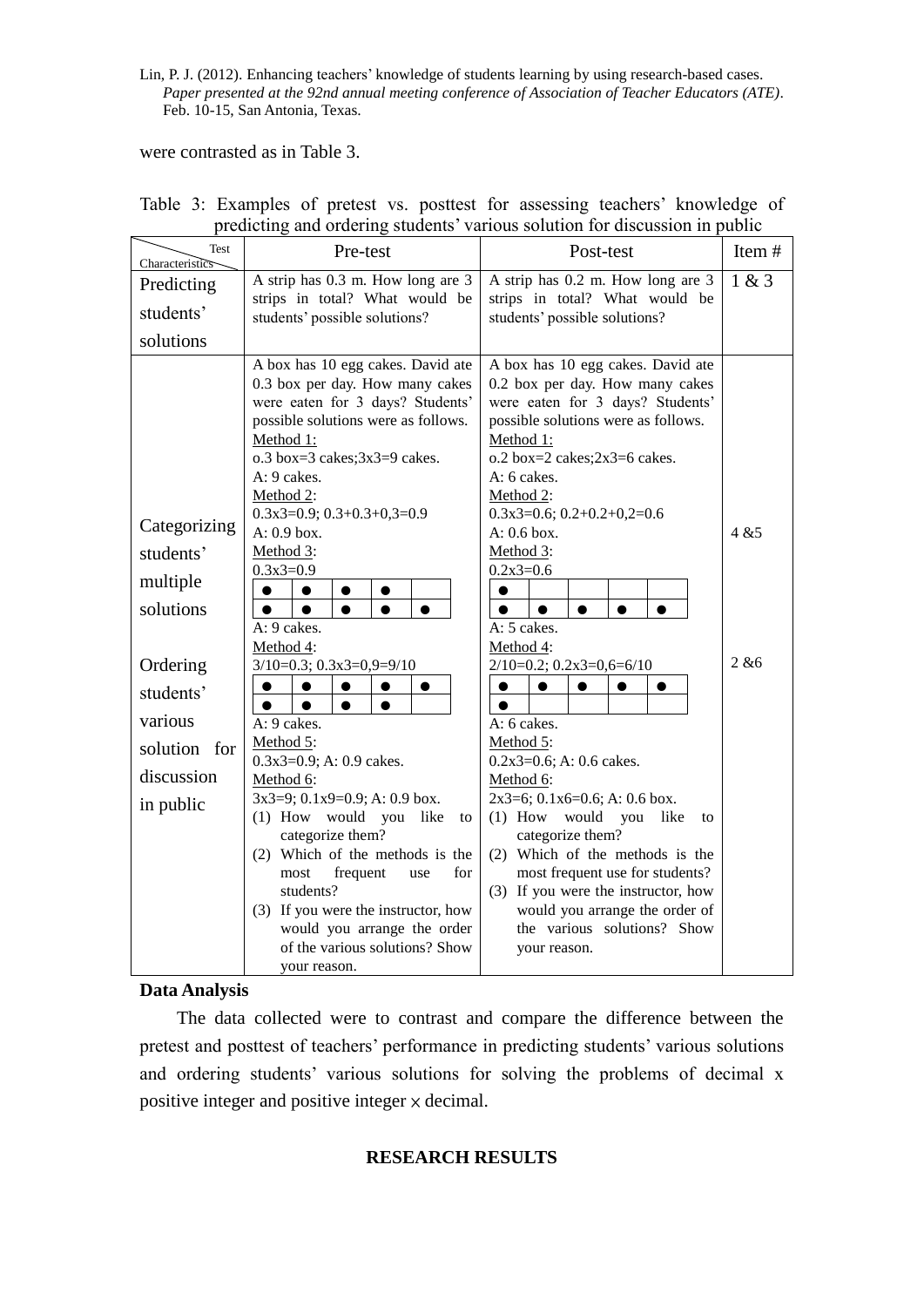were contrasted as in Table 3.

| <b>Test</b><br>Characteristics | Pre-test                                                             | Post-test                                                            | Item# |
|--------------------------------|----------------------------------------------------------------------|----------------------------------------------------------------------|-------|
| Predicting                     | A strip has 0.3 m. How long are 3                                    | A strip has 0.2 m. How long are 3                                    | 1 & 3 |
| students'                      | strips in total? What would be<br>students' possible solutions?      | strips in total? What would be<br>students' possible solutions?      |       |
| solutions                      |                                                                      |                                                                      |       |
|                                |                                                                      |                                                                      |       |
|                                | A box has 10 egg cakes. David ate<br>0.3 box per day. How many cakes | A box has 10 egg cakes. David ate<br>0.2 box per day. How many cakes |       |
|                                | were eaten for 3 days? Students'                                     | were eaten for 3 days? Students'                                     |       |
|                                | possible solutions were as follows.                                  | possible solutions were as follows.                                  |       |
|                                | Method 1:                                                            | Method 1:                                                            |       |
|                                | $o.3$ box=3 cakes; $3x3=9$ cakes.                                    | $o.2$ box=2 cakes; $2x3=6$ cakes.                                    |       |
|                                | A: 9 cakes.                                                          | A: 6 cakes.                                                          |       |
|                                | Method 2:                                                            | Method 2:                                                            |       |
| Categorizing                   | $0.3x3=0.9; 0.3+0.3+0.3=0.9$                                         | $0.3x3=0.6; 0.2+0.2+0.2=0.6$                                         |       |
|                                | A: 0.9 box.                                                          | $A: 0.6$ box.                                                        | 4 & 5 |
| students'                      | Method 3:                                                            | Method 3:                                                            |       |
| multiple                       | $0.3x3=0.9$                                                          | $0.2x3=0.6$                                                          |       |
| solutions                      | $\bullet$<br>$\bullet$<br>$\bullet$                                  |                                                                      |       |
|                                | A: 9 cakes.                                                          | A: 5 cakes.                                                          |       |
|                                | Method 4:                                                            | Method 4:                                                            |       |
| Ordering                       | $3/10=0.3; 0.3x3=0.9=9/10$                                           | $2/10=0.2$ ; $0.2x3=0,6=6/10$                                        | 2 & 6 |
| students'                      | $\bullet$<br>$\bullet$<br>$\bullet$<br>$\bullet$                     | $\bullet$<br>$\bullet$<br>$\bullet$<br>$\bullet$<br>$\bullet$        |       |
|                                | $\bullet$<br>$\bullet$<br>$\bullet$<br>$\bullet$                     | $\bullet$                                                            |       |
| various                        | A: 9 cakes.                                                          | A: 6 cakes.                                                          |       |
| solution for                   | Method 5:                                                            | Method 5:                                                            |       |
| discussion                     | $0.3x3=0.9$ ; A: 0.9 cakes.                                          | $0.2x3=0.6$ ; A: 0.6 cakes.                                          |       |
|                                | Method 6:<br>$3x3=9$ ; 0.1x9=0.9; A: 0.9 box.                        | Method 6:<br>$2x3=6$ ; 0.1 $x6=0.6$ ; A: 0.6 box.                    |       |
| in public                      | (1) How would you like<br>to                                         | (1) How would you<br>like<br>to                                      |       |
|                                | categorize them?                                                     | categorize them?                                                     |       |
|                                | (2) Which of the methods is the                                      | (2) Which of the methods is the                                      |       |
|                                | for<br>frequent<br>most<br>use                                       | most frequent use for students?                                      |       |
|                                | students?                                                            | (3) If you were the instructor, how                                  |       |
|                                | (3) If you were the instructor, how                                  | would you arrange the order of                                       |       |
|                                | would you arrange the order                                          | the various solutions? Show                                          |       |
|                                | of the various solutions? Show                                       | your reason.                                                         |       |
|                                | your reason.                                                         |                                                                      |       |

|  |  |  |  |  | Table 3: Examples of pretest vs. posttest for assessing teachers' knowledge of |  |
|--|--|--|--|--|--------------------------------------------------------------------------------|--|
|  |  |  |  |  | predicting and ordering students' various solution for discussion in public    |  |

## **Data Analysis**

The data collected were to contrast and compare the difference between the pretest and posttest of teachers' performance in predicting students' various solutions and ordering students' various solutions for solving the problems of decimal x positive integer and positive integer × decimal.

## **RESEARCH RESULTS**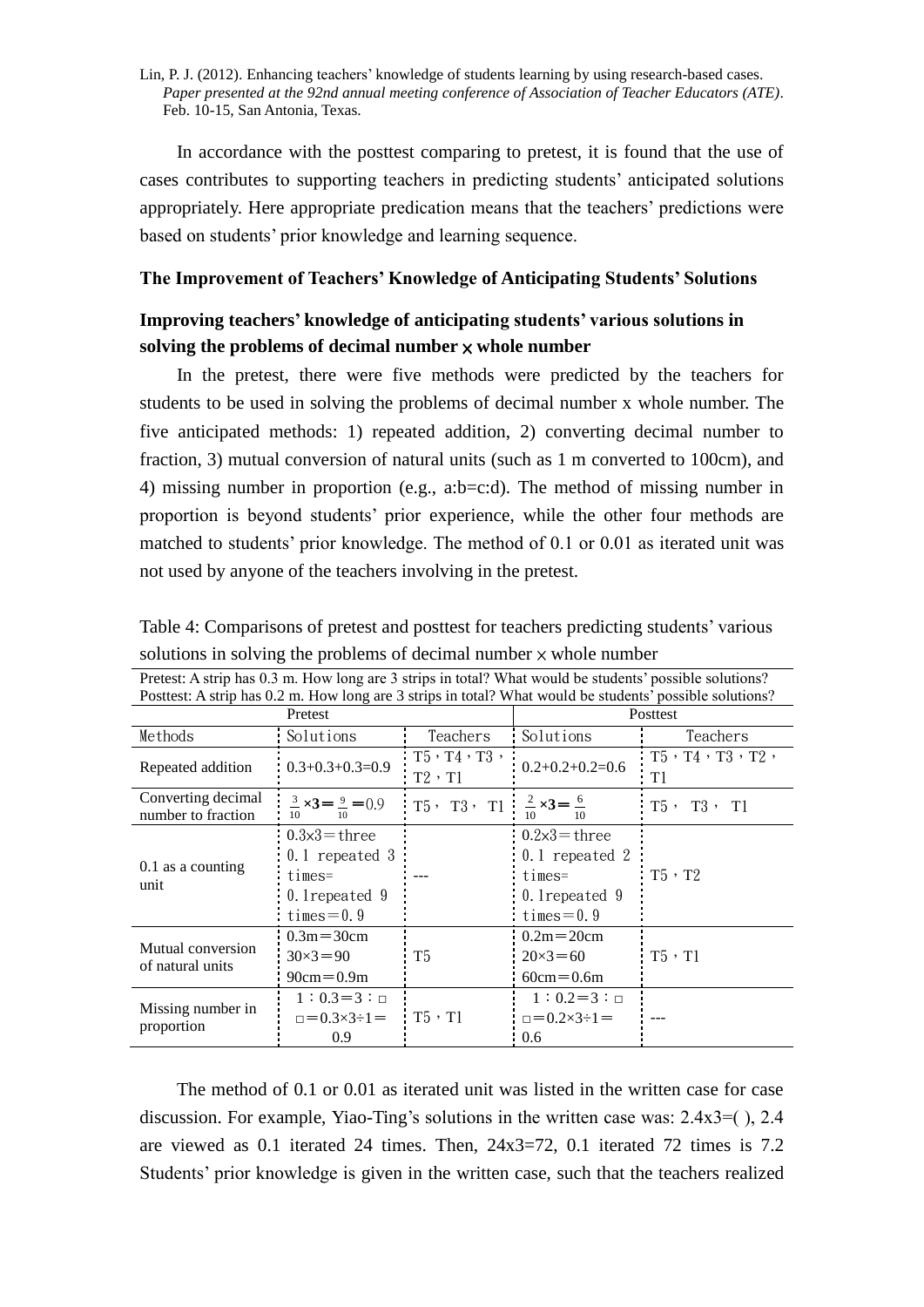In accordance with the posttest comparing to pretest, it is found that the use of cases contributes to supporting teachers in predicting students' anticipated solutions appropriately. Here appropriate predication means that the teachers' predictions were based on students' prior knowledge and learning sequence.

### **The Improvement of Teachers' Knowledge of Anticipating Students' Solutions**

## **Improving teachers' knowledge of anticipating students' various solutions in**  solving the problems of decimal number  $\times$  whole number

In the pretest, there were five methods were predicted by the teachers for students to be used in solving the problems of decimal number x whole number. The five anticipated methods: 1) repeated addition, 2) converting decimal number to fraction, 3) mutual conversion of natural units (such as 1 m converted to 100cm), and 4) missing number in proportion (e.g., a:b=c:d). The method of missing number in proportion is beyond students' prior experience, while the other four methods are matched to students' prior knowledge. The method of 0.1 or 0.01 as iterated unit was not used by anyone of the teachers involving in the pretest.

| Posttest: A strip has 0.2 m. How long are 3 strips in total? What would be students' possible solutions? |                                                                                           |                                           |                                                                                           |                                         |  |  |  |
|----------------------------------------------------------------------------------------------------------|-------------------------------------------------------------------------------------------|-------------------------------------------|-------------------------------------------------------------------------------------------|-----------------------------------------|--|--|--|
|                                                                                                          | Pretest                                                                                   | Posttest                                  |                                                                                           |                                         |  |  |  |
| Methods                                                                                                  | Solutions                                                                                 | Teachers                                  | Solutions                                                                                 | Teachers                                |  |  |  |
| Repeated addition                                                                                        | $0.3+0.3+0.3=0.9$                                                                         | $T5 \cdot T4 \cdot T3$ ,<br>$T2 \cdot T1$ | $0.2+0.2+0.2=0.6$                                                                         | $T5 \cdot T4 \cdot T3 \cdot T2$ ,<br>T1 |  |  |  |
| Converting decimal<br>number to fraction                                                                 | $\frac{3}{2} \times 3 = 9 = 0.9$<br>10<br>10.                                             | T5, T3, T1                                | $2 \times 3 = 6$<br>10                                                                    | $T5$ ,<br>$T3$ , $T1$                   |  |  |  |
| $0.1$ as a counting<br>unit                                                                              | $0.3 \times 3 =$ three<br>$0.1$ repeated 3<br>$times=$<br>0.1 repeated 9<br>times $= 0.9$ |                                           | $0.2 \times 3$ = three<br>$0.1$ repeated 2<br>$times=$<br>0.1 repeated 9<br>times $= 0.9$ | $T5 \cdot T2$                           |  |  |  |
| Mutual conversion<br>of natural units                                                                    | $0.3m = 30cm$<br>$30 \times 3 = 90$<br>$90cm = 0.9m$                                      | T5                                        | $0.2m = 20cm$<br>$20 \times 3 = 60$<br>$60cm = 0.6m$                                      | $T5 \cdot T1$                           |  |  |  |
| Missing number in<br>proportion                                                                          | $1:0.3=3:$<br>$=0.3\times3\div1=$<br>0.9                                                  | $T5 \cdot T1$                             | $1:0.2=3:$<br>$=0.2\times3\div1=$<br>0.6                                                  |                                         |  |  |  |

Table 4: Comparisons of pretest and posttest for teachers predicting students' various solutions in solving the problems of decimal number  $\times$  whole number

Pretest: A strip has 0.3 m. How long are 3 strips in total? What would be students' possible solutions?

The method of 0.1 or 0.01 as iterated unit was listed in the written case for case discussion. For example, Yiao-Ting's solutions in the written case was:  $2.4x3=($ ,  $2.4$ are viewed as 0.1 iterated 24 times. Then, 24x3=72, 0.1 iterated 72 times is 7.2 Students' prior knowledge is given in the written case, such that the teachers realized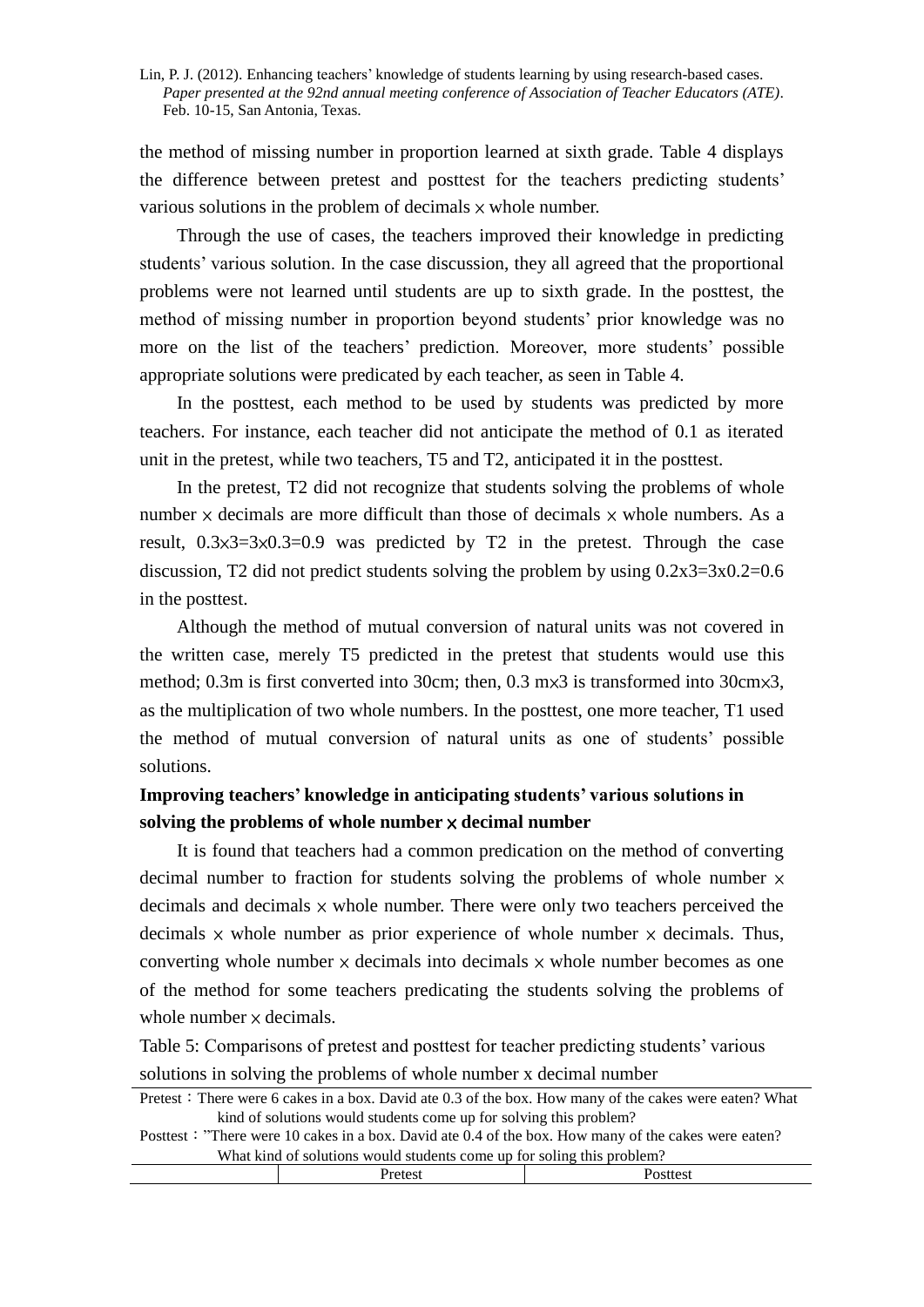the method of missing number in proportion learned at sixth grade. Table 4 displays the difference between pretest and posttest for the teachers predicting students' various solutions in the problem of decimals  $\times$  whole number.

Through the use of cases, the teachers improved their knowledge in predicting students' various solution. In the case discussion, they all agreed that the proportional problems were not learned until students are up to sixth grade. In the posttest, the method of missing number in proportion beyond students' prior knowledge was no more on the list of the teachers' prediction. Moreover, more students' possible appropriate solutions were predicated by each teacher, as seen in Table 4.

In the posttest, each method to be used by students was predicted by more teachers. For instance, each teacher did not anticipate the method of 0.1 as iterated unit in the pretest, while two teachers, T5 and T2, anticipated it in the posttest.

In the pretest, T2 did not recognize that students solving the problems of whole number  $\times$  decimals are more difficult than those of decimals  $\times$  whole numbers. As a result, 0.3×3=3×0.3=0.9 was predicted by T2 in the pretest. Through the case discussion, T2 did not predict students solving the problem by using  $0.2x3=3x0.2=0.6$ in the posttest.

Although the method of mutual conversion of natural units was not covered in the written case, merely T5 predicted in the pretest that students would use this method; 0.3m is first converted into 30cm; then, 0.3 m×3 is transformed into 30cm×3, as the multiplication of two whole numbers. In the posttest, one more teacher, T1 used the method of mutual conversion of natural units as one of students' possible solutions.

## **Improving teachers' knowledge in anticipating students' various solutions in**  solving the problems of whole number  $\times$  decimal number

It is found that teachers had a common predication on the method of converting decimal number to fraction for students solving the problems of whole number  $\times$ decimals and decimals  $\times$  whole number. There were only two teachers perceived the decimals  $\times$  whole number as prior experience of whole number  $\times$  decimals. Thus, converting whole number  $\times$  decimals into decimals  $\times$  whole number becomes as one of the method for some teachers predicating the students solving the problems of whole number  $\times$  decimals.

Table 5: Comparisons of pretest and posttest for teacher predicting students' various solutions in solving the problems of whole number x decimal number

Pretest: There were 6 cakes in a box. David ate 0.3 of the box. How many of the cakes were eaten? What kind of solutions would students come up for solving this problem?

Posttest: "There were 10 cakes in a box. David ate 0.4 of the box. How many of the cakes were eaten? What kind of solutions would students come up for soling this problem?

| -<br>л.<br>------ |  |  |
|-------------------|--|--|
|                   |  |  |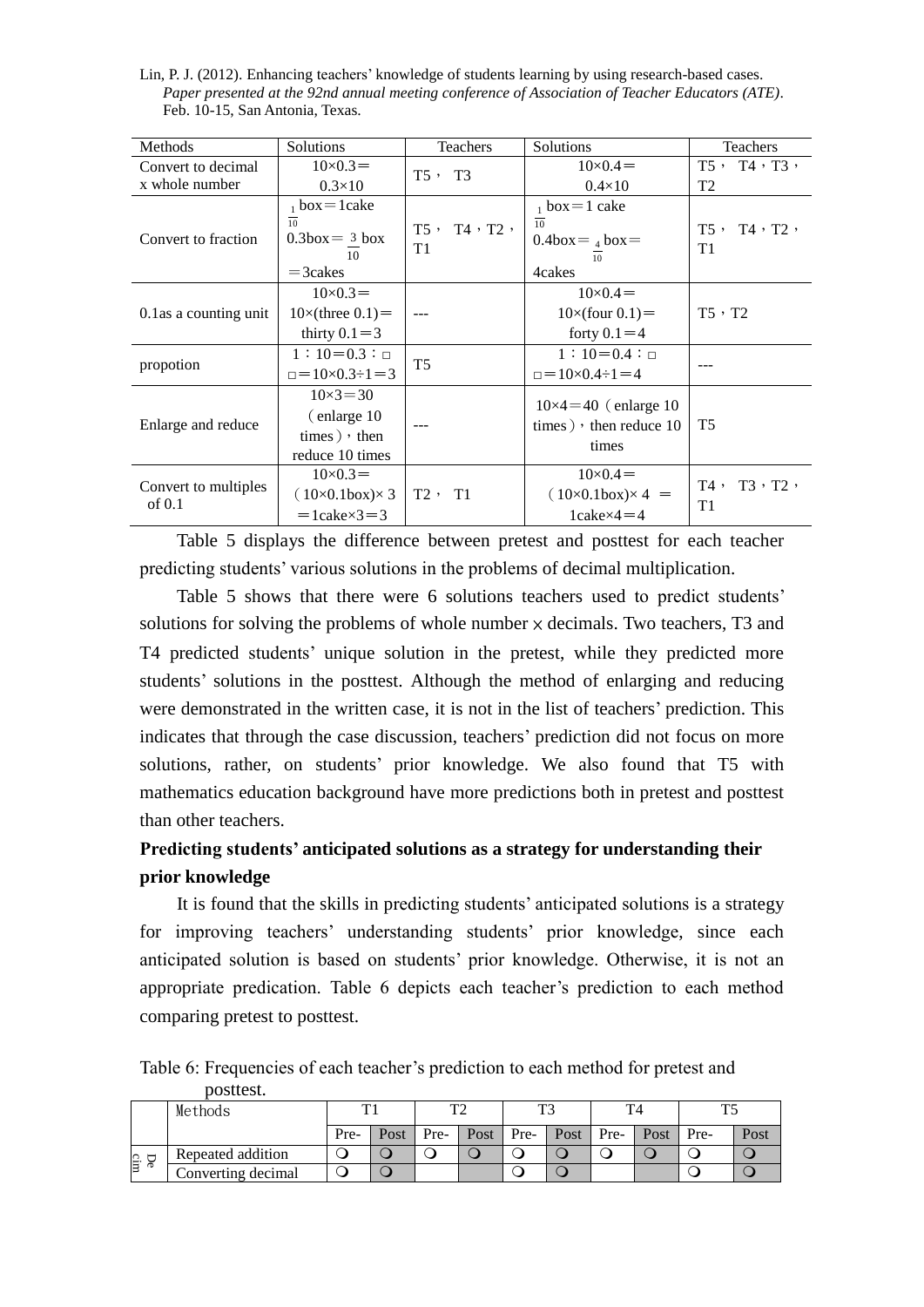Lin, P. J. (2012). Enhancing teachers' knowledge of students learning by using research-based cases. *Paper presented at the 92nd annual meeting conference of Association of Teacher Educators (ATE)*. Feb. 10-15, San Antonia, Texas.

| Methods                          | Solutions                                                                | <b>Teachers</b>               | Solutions                                                       | <b>Teachers</b>                        |
|----------------------------------|--------------------------------------------------------------------------|-------------------------------|-----------------------------------------------------------------|----------------------------------------|
| Convert to decimal               | $10\times 0.3=$                                                          | $T5$ , $T3$                   | $10\times 0.4 =$                                                | $T5$ , $T4$ , $T3$ ,                   |
| x whole number                   | $0.3\times10$                                                            |                               | $0.4\times10$                                                   | T <sub>2</sub>                         |
|                                  | $_1$ box = 1 cake                                                        |                               | $1$ box = 1 cake                                                |                                        |
| Convert to fraction              | $\overline{10}$<br>$0.3$ box = $3$ box<br>10                             | T5, T4, T2,<br>T <sub>1</sub> | 10<br>$0.4$ box = $_4$ box =<br>10                              | $T5$ , $T4$ , $T2$ ,<br>T <sub>1</sub> |
|                                  | $=$ 3 cakes                                                              |                               | 4cakes                                                          |                                        |
|                                  | $10\times 0.3=$                                                          |                               | $10\times 0.4 =$                                                |                                        |
| 0.1 as a counting unit           | $10\times$ (three $0.1$ ) =                                              |                               | $10\times$ (four 0.1) =                                         | $T5 \cdot T2$                          |
|                                  | thirty $0.1 = 3$                                                         |                               | forty $0.1 = 4$                                                 |                                        |
|                                  | $1:10=0.3:$                                                              |                               | $1:10=0.4:$                                                     |                                        |
| propotion                        | $=10\times 0.3 \div 1=3$                                                 | T <sub>5</sub>                | $=10\times 0.4 \div 1 = 4$                                      |                                        |
| Enlarge and reduce               | $10 \times 3 = 30$<br>(enlarge 10)<br>$times)$ , then<br>reduce 10 times |                               | $10\times4=40$ (enlarge 10<br>times), then reduce $10$<br>times | T <sub>5</sub>                         |
| Convert to multiples<br>of $0.1$ | $10\times 0.3=$<br>$(10\times0.1$ box) $\times$ 3                        | $T2$ , $T1$                   | $10\times 0.4=$<br>$(10\times0.1$ box) $\times$ 4 =             | $T3$ , $T2$ ,<br>T4,<br>T <sub>1</sub> |
|                                  | $=$ 1cake $\times$ 3 $=$ 3                                               |                               | $1$ cake $\times$ 4 $=$ 4                                       |                                        |

Table 5 displays the difference between pretest and posttest for each teacher predicting students' various solutions in the problems of decimal multiplication.

Table 5 shows that there were 6 solutions teachers used to predict students' solutions for solving the problems of whole number  $\times$  decimals. Two teachers, T3 and T4 predicted students' unique solution in the pretest, while they predicted more students' solutions in the posttest. Although the method of enlarging and reducing were demonstrated in the written case, it is not in the list of teachers' prediction. This indicates that through the case discussion, teachers' prediction did not focus on more solutions, rather, on students' prior knowledge. We also found that T5 with mathematics education background have more predictions both in pretest and posttest than other teachers.

# **Predicting students' anticipated solutions as a strategy for understanding their prior knowledge**

It is found that the skills in predicting students' anticipated solutions is a strategy for improving teachers' understanding students' prior knowledge, since each anticipated solution is based on students' prior knowledge. Otherwise, it is not an appropriate predication. Table 6 depicts each teacher's prediction to each method comparing pretest to posttest.

Table 6: Frequencies of each teacher's prediction to each method for pretest and posttest.

|           | Methods            |      |      |      |      | mη   |      |      |      |      |      |
|-----------|--------------------|------|------|------|------|------|------|------|------|------|------|
|           |                    | Pre- | Post | Pre- | Post | Pre- | Post | Pre- | Post | Pre- | Post |
| De<br>cin | Repeated addition  |      |      |      |      |      |      |      |      |      |      |
|           | Converting decimal |      |      |      |      |      |      |      |      |      |      |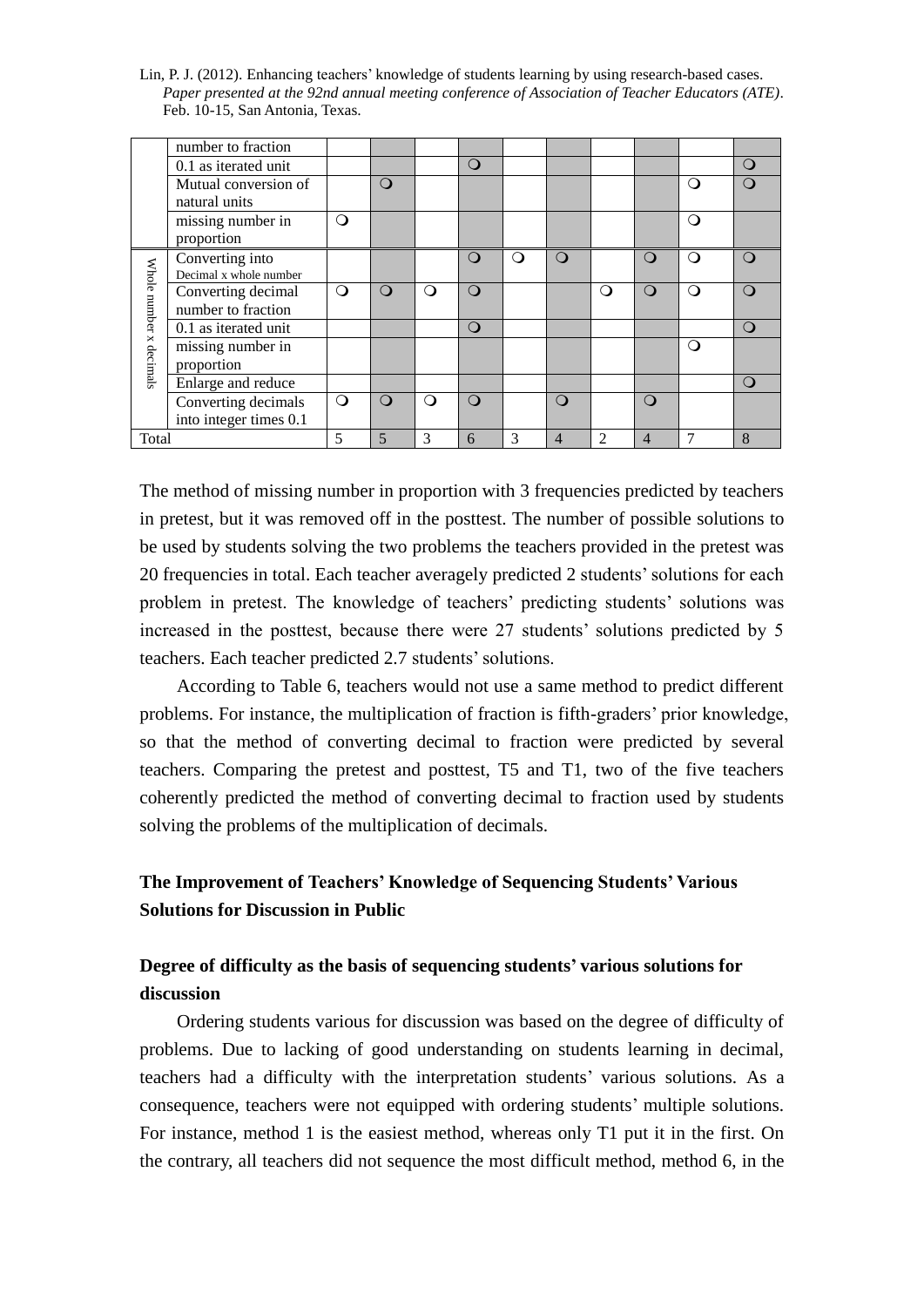Lin, P. J. (2012). Enhancing teachers' knowledge of students learning by using research-based cases. *Paper presented at the 92nd annual meeting conference of Association of Teacher Educators (ATE)*. Feb. 10-15, San Antonia, Texas.

|              | number to fraction     |          |          |   |              |   |          |          |          |   |                  |
|--------------|------------------------|----------|----------|---|--------------|---|----------|----------|----------|---|------------------|
|              | 0.1 as iterated unit   |          |          |   | $\mathbf{O}$ |   |          |          |          |   | $\left( \right)$ |
|              | Mutual conversion of   |          | O        |   |              |   |          |          |          | ∩ |                  |
|              | natural units          |          |          |   |              |   |          |          |          |   |                  |
|              | missing number in      | ∩        |          |   |              |   |          |          |          | ∩ |                  |
|              | proportion             |          |          |   |              |   |          |          |          |   |                  |
|              | Converting into        |          |          |   | $\circ$      | ∩ | $\Omega$ |          | $\Omega$ | ∩ | $\left( \right)$ |
|              | Decimal x whole number |          |          |   |              |   |          |          |          |   |                  |
| Whole number | Converting decimal     | $\Omega$ | $\Omega$ | ∩ | $\Omega$     |   |          | $\Omega$ | ∩        | ∩ | $\left( \right)$ |
|              | number to fraction     |          |          |   |              |   |          |          |          |   |                  |
|              | 0.1 as iterated unit   |          |          |   | $\mathbf{O}$ |   |          |          |          |   | $\Omega$         |
| x decimals   | missing number in      |          |          |   |              |   |          |          |          | ∩ |                  |
|              | proportion             |          |          |   |              |   |          |          |          |   |                  |
|              | Enlarge and reduce     |          |          |   |              |   |          |          |          |   | $\Omega$         |
|              | Converting decimals    | $\Omega$ | ∩        | ∩ | ∩            |   | ∩        |          | $\Omega$ |   |                  |
|              | into integer times 0.1 |          |          |   |              |   |          |          |          |   |                  |
| Total        |                        | 5        | 5        | 3 | 6            | 3 | 4        | 2        | 4        | 7 | 8                |

The method of missing number in proportion with 3 frequencies predicted by teachers in pretest, but it was removed off in the posttest. The number of possible solutions to be used by students solving the two problems the teachers provided in the pretest was 20 frequencies in total. Each teacher averagely predicted 2 students' solutions for each problem in pretest. The knowledge of teachers' predicting students' solutions was increased in the posttest, because there were 27 students' solutions predicted by 5 teachers. Each teacher predicted 2.7 students' solutions.

According to Table 6, teachers would not use a same method to predict different problems. For instance, the multiplication of fraction is fifth-graders' prior knowledge, so that the method of converting decimal to fraction were predicted by several teachers. Comparing the pretest and posttest, T5 and T1, two of the five teachers coherently predicted the method of converting decimal to fraction used by students solving the problems of the multiplication of decimals.

## **The Improvement of Teachers' Knowledge of Sequencing Students' Various Solutions for Discussion in Public**

# **Degree of difficulty as the basis of sequencing students' various solutions for discussion**

Ordering students various for discussion was based on the degree of difficulty of problems. Due to lacking of good understanding on students learning in decimal, teachers had a difficulty with the interpretation students' various solutions. As a consequence, teachers were not equipped with ordering students' multiple solutions. For instance, method 1 is the easiest method, whereas only T1 put it in the first. On the contrary, all teachers did not sequence the most difficult method, method 6, in the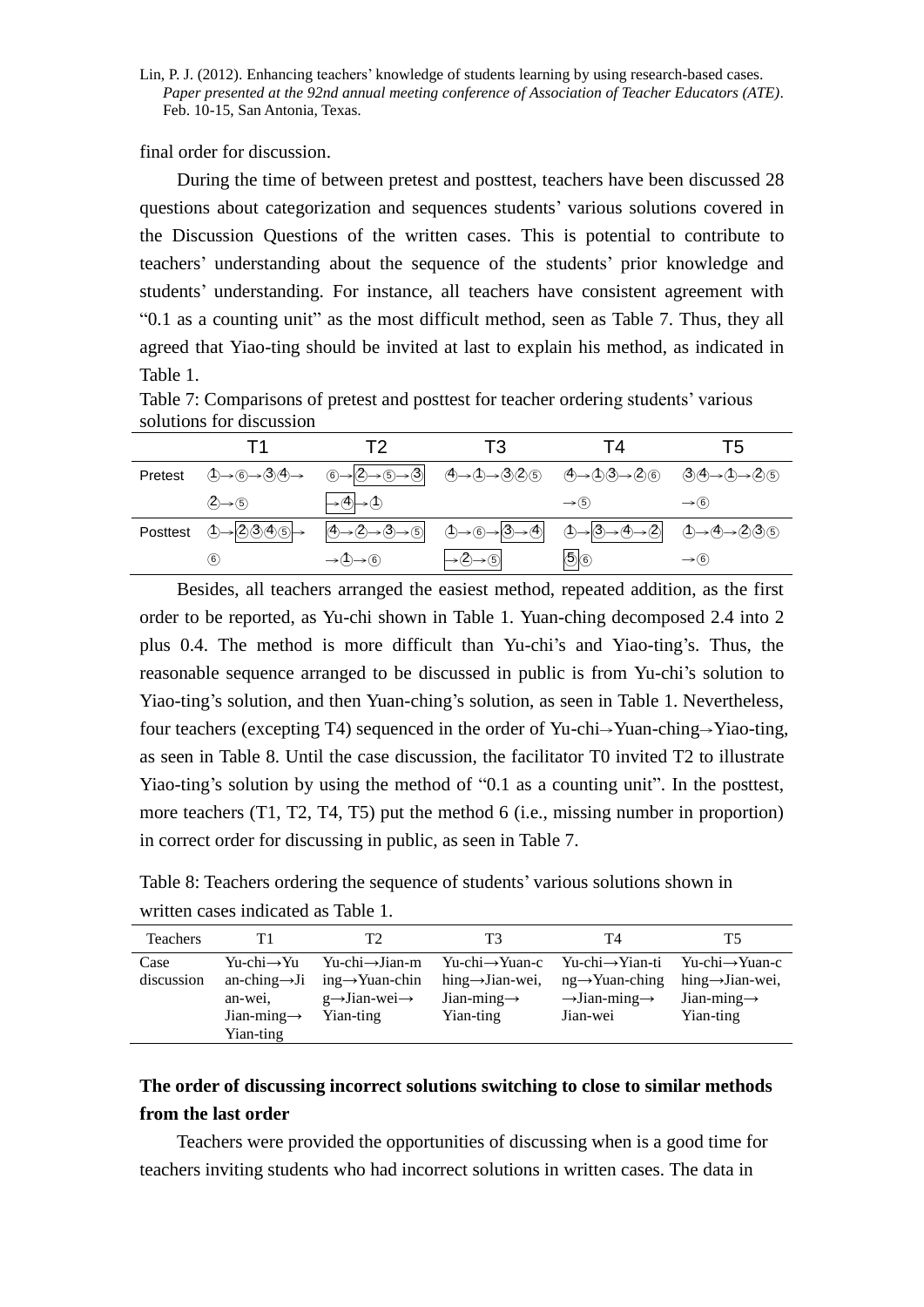final order for discussion.

During the time of between pretest and posttest, teachers have been discussed 28 questions about categorization and sequences students' various solutions covered in the Discussion Questions of the written cases. This is potential to contribute to teachers' understanding about the sequence of the students' prior knowledge and students' understanding. For instance, all teachers have consistent agreement with "0.1 as a counting unit" as the most difficult method, seen as Table 7. Thus, they all agreed that Yiao-ting should be invited at last to explain his method, as indicated in Table 1.

|          |                                              | Т2                                                                                                 | Т3                                                                                                                     | 14                                                                                    | Τ5                |
|----------|----------------------------------------------|----------------------------------------------------------------------------------------------------|------------------------------------------------------------------------------------------------------------------------|---------------------------------------------------------------------------------------|-------------------|
| Pretest  | $0 \rightarrow 6 \rightarrow 30 \rightarrow$ |                                                                                                    | $(6 \rightarrow 2 \rightarrow 5 \rightarrow 3)$ $(4 \rightarrow 0 \rightarrow 325)$ $(4 \rightarrow 0 \rightarrow 26)$ |                                                                                       | <b>③④→①→②⑤</b>    |
|          | $(2) \rightarrow (5)$                        | $\rightarrow$ (4) $\rightarrow$ (1)                                                                |                                                                                                                        | $\rightarrow$ (5)                                                                     | $\rightarrow$ (6) |
| Posttest | $0 \rightarrow 2000$                         | $\textcircled{4}\rightarrow \textcircled{2}\rightarrow \textcircled{3}\rightarrow \textcircled{5}$ | $\circled{1} \rightarrow \circled{6} \rightarrow \circled{3} \rightarrow \circled{4}$                                  | $\circled{1} \rightarrow \circled{3} \rightarrow \circled{4} \rightarrow \circled{2}$ | ①→④→②③⑤           |
|          | (6)                                          | $\rightarrow$ $\rightarrow$ $\rightarrow$ $\odot$                                                  | $\rightarrow \textcircled{2} \rightarrow \textcircled{5}$                                                              | $\overline{\mathbb{S}}\circledcirc$                                                   | $\rightarrow$ (6) |

Table 7: Comparisons of pretest and posttest for teacher ordering students' various solutions for discussion

Besides, all teachers arranged the easiest method, repeated addition, as the first order to be reported, as Yu-chi shown in Table 1. Yuan-ching decomposed 2.4 into 2 plus 0.4. The method is more difficult than Yu-chi's and Yiao-ting's. Thus, the reasonable sequence arranged to be discussed in public is from Yu-chi's solution to Yiao-ting's solution, and then Yuan-ching's solution, as seen in Table 1. Nevertheless, four teachers (excepting T4) sequenced in the order of Yu-chi→Yuan-ching→Yiao-ting, as seen in Table 8. Until the case discussion, the facilitator T0 invited T2 to illustrate Yiao-ting's solution by using the method of "0.1 as a counting unit". In the posttest, more teachers (T1, T2, T4, T5) put the method 6 (i.e., missing number in proportion) in correct order for discussing in public, as seen in Table 7.

Table 8: Teachers ordering the sequence of students' various solutions shown in written cases indicated as Table 1.

| Teachers   | Τ1                        | Т2                                       | T3                                       | T4                                    | T5                           |
|------------|---------------------------|------------------------------------------|------------------------------------------|---------------------------------------|------------------------------|
| Case       | Yu-chi→Yu                 | $Yu\text{-}chi\rightarrow Jian\text{-}m$ | $Yu\text{-}chi\rightarrow Yuan\text{-}c$ | $Yu\text{-}chi\rightarrow$ Yian-ti    | Yu-chi→Yuan-c                |
| discussion | an-ching $\rightarrow$ Ji | $ing \rightarrow Yuan$ -chin             | hing $\rightarrow$ Jian-wei,             | $ng \rightarrow$ Yuan-ching           | hing $\rightarrow$ Jian-wei, |
|            | an-wei.                   | $g \rightarrow$ Jian-wei $\rightarrow$   | Jian-ming $\rightarrow$                  | $\rightarrow$ Jian-ming $\rightarrow$ | Jian-ming $\rightarrow$      |
|            | Jian-ming $\rightarrow$   | Yian-ting                                | Yian-ting                                | Jian-wei                              | Yian-ting                    |
|            | Yian-ting                 |                                          |                                          |                                       |                              |

# **The order of discussing incorrect solutions switching to close to similar methods from the last order**

Teachers were provided the opportunities of discussing when is a good time for teachers inviting students who had incorrect solutions in written cases. The data in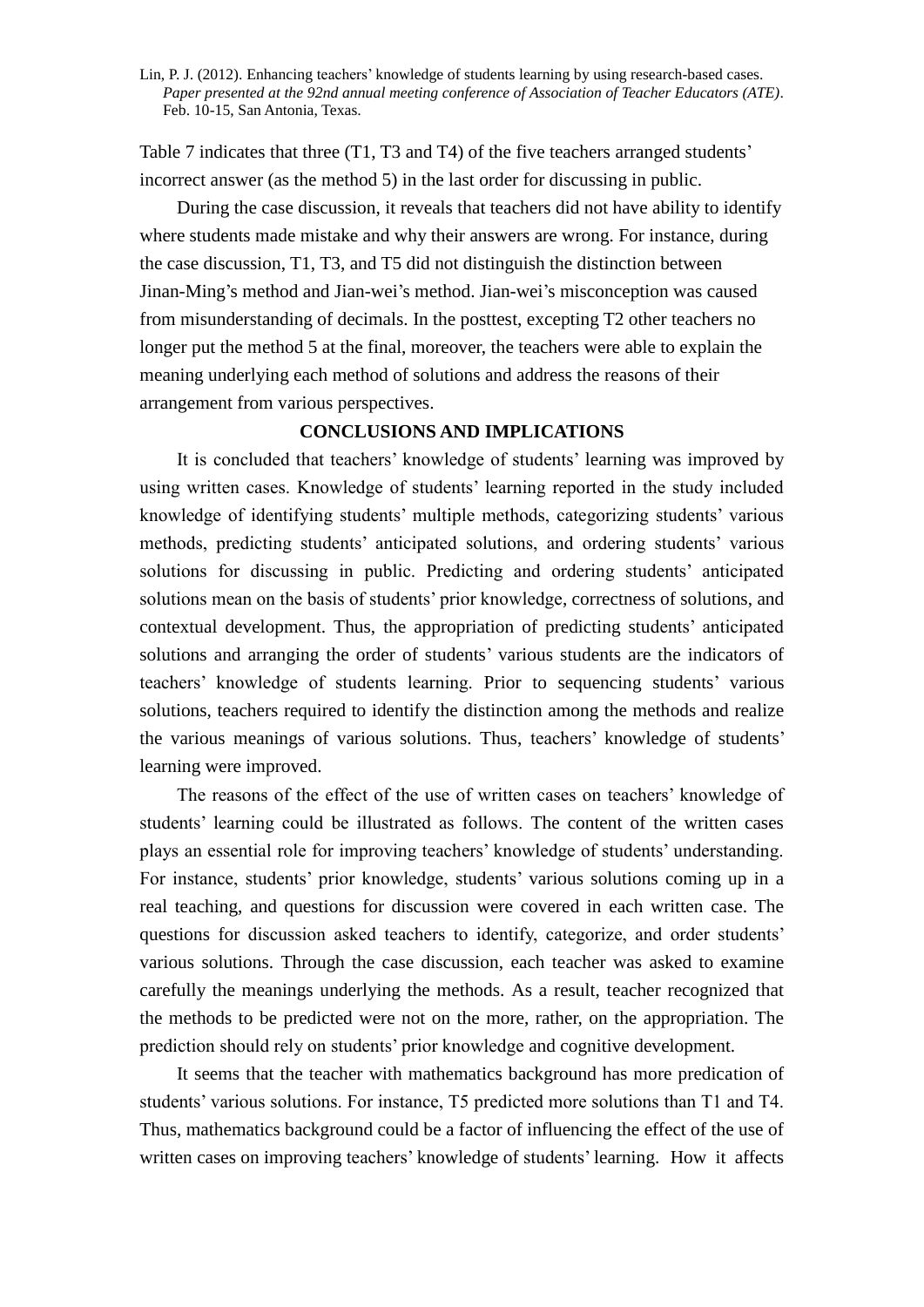Table 7 indicates that three (T1, T3 and T4) of the five teachers arranged students' incorrect answer (as the method 5) in the last order for discussing in public.

During the case discussion, it reveals that teachers did not have ability to identify where students made mistake and why their answers are wrong. For instance, during the case discussion, T1, T3, and T5 did not distinguish the distinction between Jinan-Ming's method and Jian-wei's method. Jian-wei's misconception was caused from misunderstanding of decimals. In the posttest, excepting T2 other teachers no longer put the method 5 at the final, moreover, the teachers were able to explain the meaning underlying each method of solutions and address the reasons of their arrangement from various perspectives.

## **CONCLUSIONS AND IMPLICATIONS**

It is concluded that teachers' knowledge of students' learning was improved by using written cases. Knowledge of students' learning reported in the study included knowledge of identifying students' multiple methods, categorizing students' various methods, predicting students' anticipated solutions, and ordering students' various solutions for discussing in public. Predicting and ordering students' anticipated solutions mean on the basis of students' prior knowledge, correctness of solutions, and contextual development. Thus, the appropriation of predicting students' anticipated solutions and arranging the order of students' various students are the indicators of teachers' knowledge of students learning. Prior to sequencing students' various solutions, teachers required to identify the distinction among the methods and realize the various meanings of various solutions. Thus, teachers' knowledge of students' learning were improved.

The reasons of the effect of the use of written cases on teachers' knowledge of students' learning could be illustrated as follows. The content of the written cases plays an essential role for improving teachers' knowledge of students' understanding. For instance, students' prior knowledge, students' various solutions coming up in a real teaching, and questions for discussion were covered in each written case. The questions for discussion asked teachers to identify, categorize, and order students' various solutions. Through the case discussion, each teacher was asked to examine carefully the meanings underlying the methods. As a result, teacher recognized that the methods to be predicted were not on the more, rather, on the appropriation. The prediction should rely on students' prior knowledge and cognitive development.

It seems that the teacher with mathematics background has more predication of students' various solutions. For instance, T5 predicted more solutions than T1 and T4. Thus, mathematics background could be a factor of influencing the effect of the use of written cases on improving teachers' knowledge of students' learning. How it affects